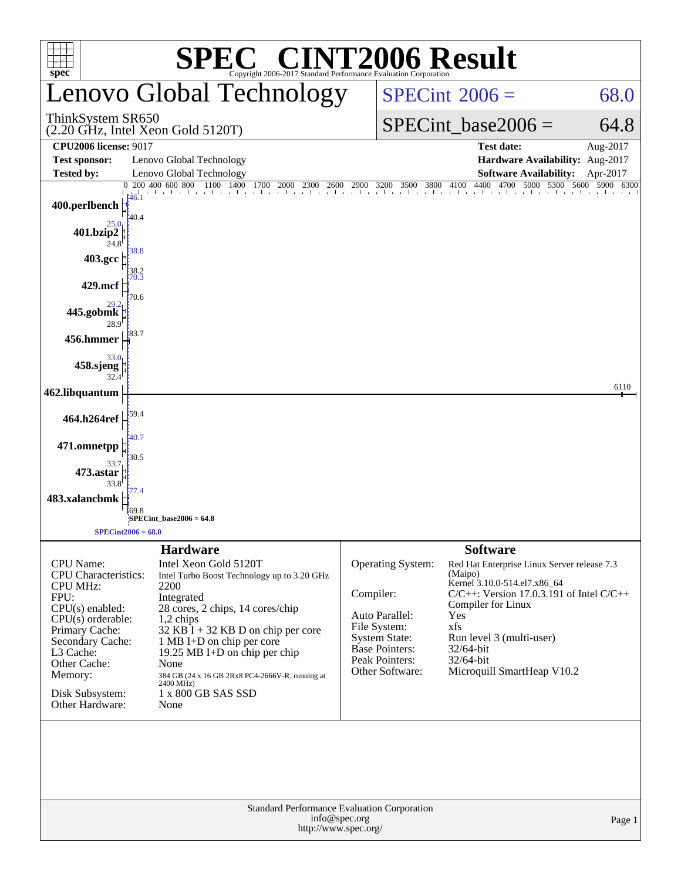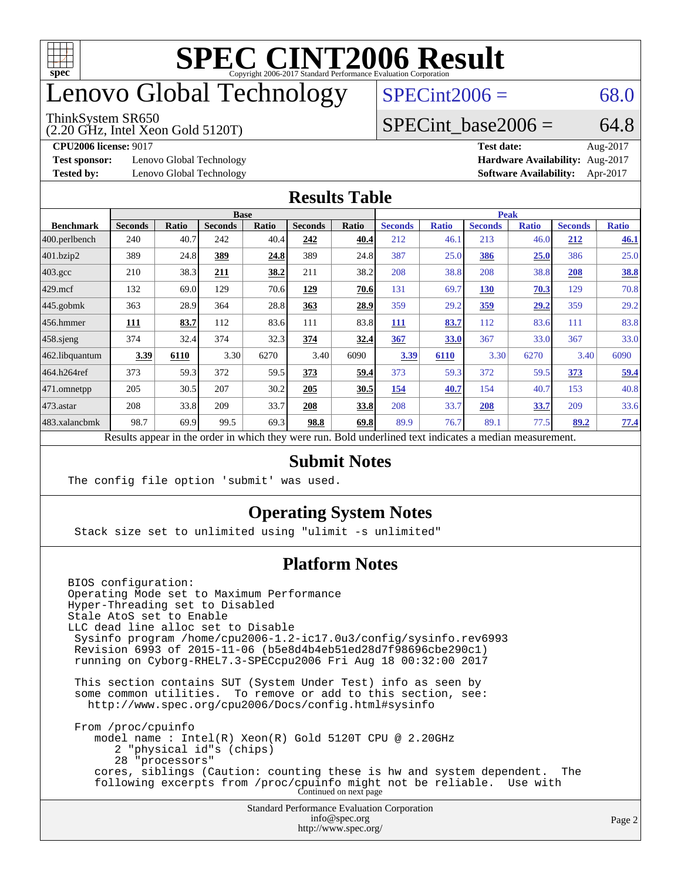

### enovo Global Technology

#### ThinkSystem SR650

(2.20 GHz, Intel Xeon Gold 5120T)

 $SPECint2006 = 68.0$  $SPECint2006 = 68.0$ 

#### SPECint base2006 =  $64.8$

**[Test sponsor:](http://www.spec.org/auto/cpu2006/Docs/result-fields.html#Testsponsor)** Lenovo Global Technology **[Hardware Availability:](http://www.spec.org/auto/cpu2006/Docs/result-fields.html#HardwareAvailability)** Aug-2017

**[CPU2006 license:](http://www.spec.org/auto/cpu2006/Docs/result-fields.html#CPU2006license)** 9017 **[Test date:](http://www.spec.org/auto/cpu2006/Docs/result-fields.html#Testdate)** Aug-2017 **[Tested by:](http://www.spec.org/auto/cpu2006/Docs/result-fields.html#Testedby)** Lenovo Global Technology **[Software Availability:](http://www.spec.org/auto/cpu2006/Docs/result-fields.html#SoftwareAvailability)** Apr-2017

#### **[Results Table](http://www.spec.org/auto/cpu2006/Docs/result-fields.html#ResultsTable)**

|                                                                                                          |                |              | <b>Base</b>    |       |                |       | <b>Peak</b>    |              |                |              |                |              |
|----------------------------------------------------------------------------------------------------------|----------------|--------------|----------------|-------|----------------|-------|----------------|--------------|----------------|--------------|----------------|--------------|
| <b>Benchmark</b>                                                                                         | <b>Seconds</b> | <b>Ratio</b> | <b>Seconds</b> | Ratio | <b>Seconds</b> | Ratio | <b>Seconds</b> | <b>Ratio</b> | <b>Seconds</b> | <b>Ratio</b> | <b>Seconds</b> | <b>Ratio</b> |
| 400.perlbench                                                                                            | 240            | 40.7         | 242            | 40.4  | 242            | 40.4  | 212            | 46.1         | 213            | 46.0         | 212            | 46.1         |
| 401.bzip2                                                                                                | 389            | 24.8         | 389            | 24.8  | 389            | 24.8  | 387            | 25.0         | 386            | 25.0         | 386            | 25.0         |
| $403.\mathrm{gcc}$                                                                                       | 210            | 38.3         | 211            | 38.2  | 211            | 38.2  | 208            | 38.8         | 208            | 38.8         | 208            | <u>38.8</u>  |
| $429$ .mcf                                                                                               | 132            | 69.0         | 129            | 70.6  | 129            | 70.6  | 131            | 69.7         | <b>130</b>     | 70.3         | 129            | 70.8         |
| $445$ .gobmk                                                                                             | 363            | 28.9         | 364            | 28.8  | 363            | 28.9  | 359            | 29.2         | <u>359</u>     | 29,2         | 359            | 29.2         |
| $456.$ hmmer                                                                                             | 111            | 83.7         | 112            | 83.6  | 111            | 83.8  | 111            | 83.7         | 112            | 83.6         | 111            | 83.8         |
| $458$ .sjeng                                                                                             | 374            | 32.4         | 374            | 32.3  | 374            | 32.4  | 367            | 33.0         | 367            | 33.0         | 367            | 33.0         |
| 462.libquantum                                                                                           | 3.39           | 6110         | 3.30           | 6270  | 3.40           | 6090  | 3.39           | 6110         | 3.30           | 6270         | 3.40           | 6090         |
| 464.h264ref                                                                                              | 373            | 59.3         | 372            | 59.5  | 373            | 59.4  | 373            | 59.3         | 372            | 59.5         | 373            | 59.4         |
| 471.omnetpp                                                                                              | 205            | 30.5         | 207            | 30.2  | 205            | 30.5  | 154            | 40.7         | 154            | 40.7         | 153            | 40.8         |
| 473.astar                                                                                                | 208            | 33.8         | 209            | 33.7  | 208            | 33.8  | 208            | 33.7         | 208            | 33.7         | 209            | 33.6         |
| 483.xalancbmk                                                                                            | 98.7           | 69.9         | 99.5           | 69.3  | 98.8           | 69.8  | 89.9           | 76.7         | 89.1           | 77.5         | 89.2           | 77.4         |
| Results appear in the order in which they were run. Bold underlined text indicates a median measurement. |                |              |                |       |                |       |                |              |                |              |                |              |

#### **[Submit Notes](http://www.spec.org/auto/cpu2006/Docs/result-fields.html#SubmitNotes)**

The config file option 'submit' was used.

#### **[Operating System Notes](http://www.spec.org/auto/cpu2006/Docs/result-fields.html#OperatingSystemNotes)**

Stack size set to unlimited using "ulimit -s unlimited"

#### **[Platform Notes](http://www.spec.org/auto/cpu2006/Docs/result-fields.html#PlatformNotes)**

Standard Performance Evaluation Corporation [info@spec.org](mailto:info@spec.org) BIOS configuration: Operating Mode set to Maximum Performance Hyper-Threading set to Disabled Stale AtoS set to Enable LLC dead line alloc set to Disable Sysinfo program /home/cpu2006-1.2-ic17.0u3/config/sysinfo.rev6993 Revision 6993 of 2015-11-06 (b5e8d4b4eb51ed28d7f98696cbe290c1) running on Cyborg-RHEL7.3-SPECcpu2006 Fri Aug 18 00:32:00 2017 This section contains SUT (System Under Test) info as seen by some common utilities. To remove or add to this section, see: <http://www.spec.org/cpu2006/Docs/config.html#sysinfo> From /proc/cpuinfo model name : Intel(R) Xeon(R) Gold 5120T CPU @ 2.20GHz 2 "physical id"s (chips) 28 "processors" cores, siblings (Caution: counting these is hw and system dependent. The following excerpts from /proc/cpuinfo might not be reliable. Use with Continued on next page

<http://www.spec.org/>

Page 2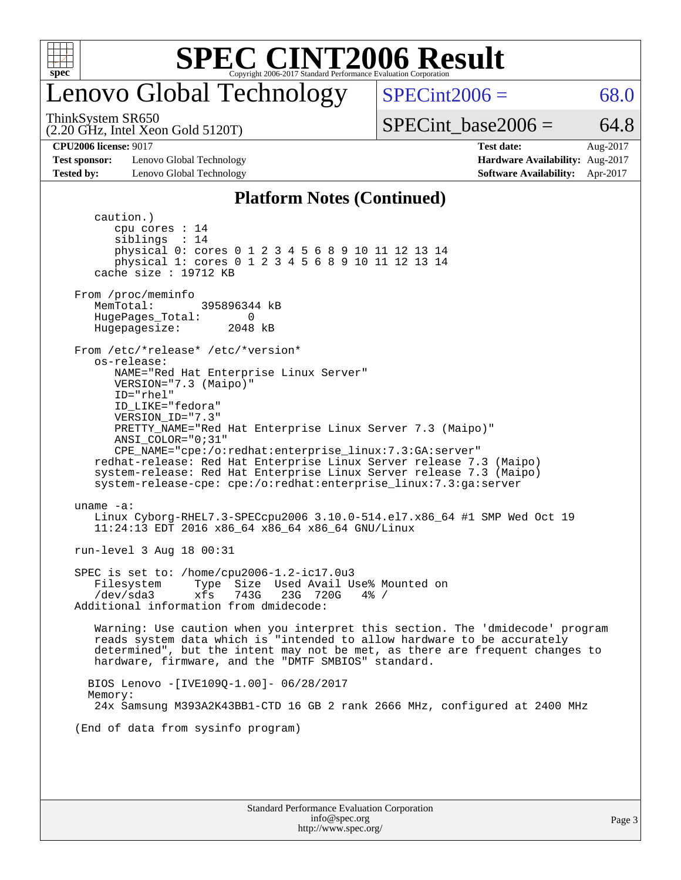

### enovo Global Technology

ThinkSystem SR650

 $SPECint2006 = 68.0$  $SPECint2006 = 68.0$ 

(2.20 GHz, Intel Xeon Gold 5120T)

SPECint base2006 =  $64.8$ 

**[Test sponsor:](http://www.spec.org/auto/cpu2006/Docs/result-fields.html#Testsponsor)** Lenovo Global Technology **[Hardware Availability:](http://www.spec.org/auto/cpu2006/Docs/result-fields.html#HardwareAvailability)** Aug-2017 **[Tested by:](http://www.spec.org/auto/cpu2006/Docs/result-fields.html#Testedby)** Lenovo Global Technology **[Software Availability:](http://www.spec.org/auto/cpu2006/Docs/result-fields.html#SoftwareAvailability)** Apr-2017

**[CPU2006 license:](http://www.spec.org/auto/cpu2006/Docs/result-fields.html#CPU2006license)** 9017 **[Test date:](http://www.spec.org/auto/cpu2006/Docs/result-fields.html#Testdate)** Aug-2017

#### **[Platform Notes \(Continued\)](http://www.spec.org/auto/cpu2006/Docs/result-fields.html#PlatformNotes)**

 caution.) cpu cores : 14 siblings : 14 physical 0: cores 0 1 2 3 4 5 6 8 9 10 11 12 13 14 physical 1: cores 0 1 2 3 4 5 6 8 9 10 11 12 13 14 cache size : 19712 KB From /proc/meminfo MemTotal: 395896344 kB HugePages\_Total: 0<br>Hugepagesize: 2048 kB Hugepagesize: From /etc/\*release\* /etc/\*version\* os-release: NAME="Red Hat Enterprise Linux Server" VERSION="7.3 (Maipo)" ID="rhel" ID\_LIKE="fedora" VERSION\_ID="7.3" PRETTY\_NAME="Red Hat Enterprise Linux Server 7.3 (Maipo)" ANSI\_COLOR="0;31" CPE\_NAME="cpe:/o:redhat:enterprise\_linux:7.3:GA:server" redhat-release: Red Hat Enterprise Linux Server release 7.3 (Maipo) system-release: Red Hat Enterprise Linux Server release 7.3 (Maipo) system-release-cpe: cpe:/o:redhat:enterprise\_linux:7.3:ga:server uname -a: Linux Cyborg-RHEL7.3-SPECcpu2006 3.10.0-514.el7.x86\_64 #1 SMP Wed Oct 19 11:24:13 EDT 2016 x86\_64 x86\_64 x86\_64 GNU/Linux run-level 3 Aug 18 00:31 SPEC is set to: /home/cpu2006-1.2-ic17.0u3 Filesystem Type Size Used Avail Use% Mounted on<br>
/dev/sda3 xfs 743G 23G 720G 4% / /dev/sda3 xfs 743G 23G 720G 4% / Additional information from dmidecode: Warning: Use caution when you interpret this section. The 'dmidecode' program reads system data which is "intended to allow hardware to be accurately determined", but the intent may not be met, as there are frequent changes to hardware, firmware, and the "DMTF SMBIOS" standard. BIOS Lenovo -[IVE109Q-1.00]- 06/28/2017 Memory: 24x Samsung M393A2K43BB1-CTD 16 GB 2 rank 2666 MHz, configured at 2400 MHz (End of data from sysinfo program)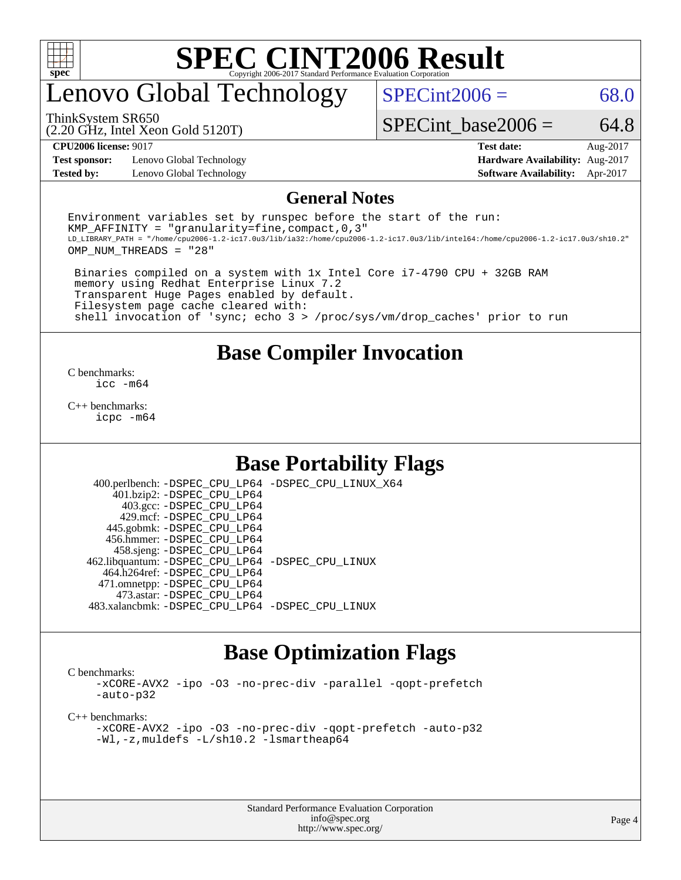

### enovo Global Technology

 $SPECint2006 = 68.0$  $SPECint2006 = 68.0$ 

(2.20 GHz, Intel Xeon Gold 5120T) ThinkSystem SR650

SPECint base2006 =  $64.8$ 

**[Test sponsor:](http://www.spec.org/auto/cpu2006/Docs/result-fields.html#Testsponsor)** Lenovo Global Technology **[Hardware Availability:](http://www.spec.org/auto/cpu2006/Docs/result-fields.html#HardwareAvailability)** Aug-2017

**[CPU2006 license:](http://www.spec.org/auto/cpu2006/Docs/result-fields.html#CPU2006license)** 9017 **[Test date:](http://www.spec.org/auto/cpu2006/Docs/result-fields.html#Testdate)** Aug-2017 **[Tested by:](http://www.spec.org/auto/cpu2006/Docs/result-fields.html#Testedby)** Lenovo Global Technology **[Software Availability:](http://www.spec.org/auto/cpu2006/Docs/result-fields.html#SoftwareAvailability)** Apr-2017

#### **[General Notes](http://www.spec.org/auto/cpu2006/Docs/result-fields.html#GeneralNotes)**

Environment variables set by runspec before the start of the run: KMP AFFINITY = "granularity=fine, compact,  $0,3$ " LD\_LIBRARY\_PATH = "/home/cpu2006-1.2-ic17.0u3/lib/ia32:/home/cpu2006-1.2-ic17.0u3/lib/intel64:/home/cpu2006-1.2-ic17.0u3/sh10.2" OMP\_NUM\_THREADS = "28"

 Binaries compiled on a system with 1x Intel Core i7-4790 CPU + 32GB RAM memory using Redhat Enterprise Linux 7.2 Transparent Huge Pages enabled by default. Filesystem page cache cleared with: shell invocation of 'sync; echo 3 > /proc/sys/vm/drop\_caches' prior to run

#### **[Base Compiler Invocation](http://www.spec.org/auto/cpu2006/Docs/result-fields.html#BaseCompilerInvocation)**

[C benchmarks](http://www.spec.org/auto/cpu2006/Docs/result-fields.html#Cbenchmarks): [icc -m64](http://www.spec.org/cpu2006/results/res2017q4/cpu2006-20170918-49706.flags.html#user_CCbase_intel_icc_64bit_bda6cc9af1fdbb0edc3795bac97ada53)

[C++ benchmarks:](http://www.spec.org/auto/cpu2006/Docs/result-fields.html#CXXbenchmarks) [icpc -m64](http://www.spec.org/cpu2006/results/res2017q4/cpu2006-20170918-49706.flags.html#user_CXXbase_intel_icpc_64bit_fc66a5337ce925472a5c54ad6a0de310)

#### **[Base Portability Flags](http://www.spec.org/auto/cpu2006/Docs/result-fields.html#BasePortabilityFlags)**

 400.perlbench: [-DSPEC\\_CPU\\_LP64](http://www.spec.org/cpu2006/results/res2017q4/cpu2006-20170918-49706.flags.html#b400.perlbench_basePORTABILITY_DSPEC_CPU_LP64) [-DSPEC\\_CPU\\_LINUX\\_X64](http://www.spec.org/cpu2006/results/res2017q4/cpu2006-20170918-49706.flags.html#b400.perlbench_baseCPORTABILITY_DSPEC_CPU_LINUX_X64) 401.bzip2: [-DSPEC\\_CPU\\_LP64](http://www.spec.org/cpu2006/results/res2017q4/cpu2006-20170918-49706.flags.html#suite_basePORTABILITY401_bzip2_DSPEC_CPU_LP64) 403.gcc: [-DSPEC\\_CPU\\_LP64](http://www.spec.org/cpu2006/results/res2017q4/cpu2006-20170918-49706.flags.html#suite_basePORTABILITY403_gcc_DSPEC_CPU_LP64) 429.mcf: [-DSPEC\\_CPU\\_LP64](http://www.spec.org/cpu2006/results/res2017q4/cpu2006-20170918-49706.flags.html#suite_basePORTABILITY429_mcf_DSPEC_CPU_LP64) 445.gobmk: [-DSPEC\\_CPU\\_LP64](http://www.spec.org/cpu2006/results/res2017q4/cpu2006-20170918-49706.flags.html#suite_basePORTABILITY445_gobmk_DSPEC_CPU_LP64) 456.hmmer: [-DSPEC\\_CPU\\_LP64](http://www.spec.org/cpu2006/results/res2017q4/cpu2006-20170918-49706.flags.html#suite_basePORTABILITY456_hmmer_DSPEC_CPU_LP64) 458.sjeng: [-DSPEC\\_CPU\\_LP64](http://www.spec.org/cpu2006/results/res2017q4/cpu2006-20170918-49706.flags.html#suite_basePORTABILITY458_sjeng_DSPEC_CPU_LP64) 462.libquantum: [-DSPEC\\_CPU\\_LP64](http://www.spec.org/cpu2006/results/res2017q4/cpu2006-20170918-49706.flags.html#suite_basePORTABILITY462_libquantum_DSPEC_CPU_LP64) [-DSPEC\\_CPU\\_LINUX](http://www.spec.org/cpu2006/results/res2017q4/cpu2006-20170918-49706.flags.html#b462.libquantum_baseCPORTABILITY_DSPEC_CPU_LINUX) 464.h264ref: [-DSPEC\\_CPU\\_LP64](http://www.spec.org/cpu2006/results/res2017q4/cpu2006-20170918-49706.flags.html#suite_basePORTABILITY464_h264ref_DSPEC_CPU_LP64) 471.omnetpp: [-DSPEC\\_CPU\\_LP64](http://www.spec.org/cpu2006/results/res2017q4/cpu2006-20170918-49706.flags.html#suite_basePORTABILITY471_omnetpp_DSPEC_CPU_LP64) 473.astar: [-DSPEC\\_CPU\\_LP64](http://www.spec.org/cpu2006/results/res2017q4/cpu2006-20170918-49706.flags.html#suite_basePORTABILITY473_astar_DSPEC_CPU_LP64) 483.xalancbmk: [-DSPEC\\_CPU\\_LP64](http://www.spec.org/cpu2006/results/res2017q4/cpu2006-20170918-49706.flags.html#suite_basePORTABILITY483_xalancbmk_DSPEC_CPU_LP64) [-DSPEC\\_CPU\\_LINUX](http://www.spec.org/cpu2006/results/res2017q4/cpu2006-20170918-49706.flags.html#b483.xalancbmk_baseCXXPORTABILITY_DSPEC_CPU_LINUX)

#### **[Base Optimization Flags](http://www.spec.org/auto/cpu2006/Docs/result-fields.html#BaseOptimizationFlags)**

[C benchmarks](http://www.spec.org/auto/cpu2006/Docs/result-fields.html#Cbenchmarks):

[-xCORE-AVX2](http://www.spec.org/cpu2006/results/res2017q4/cpu2006-20170918-49706.flags.html#user_CCbase_f-xCORE-AVX2) [-ipo](http://www.spec.org/cpu2006/results/res2017q4/cpu2006-20170918-49706.flags.html#user_CCbase_f-ipo) [-O3](http://www.spec.org/cpu2006/results/res2017q4/cpu2006-20170918-49706.flags.html#user_CCbase_f-O3) [-no-prec-div](http://www.spec.org/cpu2006/results/res2017q4/cpu2006-20170918-49706.flags.html#user_CCbase_f-no-prec-div) [-parallel](http://www.spec.org/cpu2006/results/res2017q4/cpu2006-20170918-49706.flags.html#user_CCbase_f-parallel) [-qopt-prefetch](http://www.spec.org/cpu2006/results/res2017q4/cpu2006-20170918-49706.flags.html#user_CCbase_f-qopt-prefetch) [-auto-p32](http://www.spec.org/cpu2006/results/res2017q4/cpu2006-20170918-49706.flags.html#user_CCbase_f-auto-p32)

[C++ benchmarks:](http://www.spec.org/auto/cpu2006/Docs/result-fields.html#CXXbenchmarks)

[-xCORE-AVX2](http://www.spec.org/cpu2006/results/res2017q4/cpu2006-20170918-49706.flags.html#user_CXXbase_f-xCORE-AVX2) [-ipo](http://www.spec.org/cpu2006/results/res2017q4/cpu2006-20170918-49706.flags.html#user_CXXbase_f-ipo) [-O3](http://www.spec.org/cpu2006/results/res2017q4/cpu2006-20170918-49706.flags.html#user_CXXbase_f-O3) [-no-prec-div](http://www.spec.org/cpu2006/results/res2017q4/cpu2006-20170918-49706.flags.html#user_CXXbase_f-no-prec-div) [-qopt-prefetch](http://www.spec.org/cpu2006/results/res2017q4/cpu2006-20170918-49706.flags.html#user_CXXbase_f-qopt-prefetch) [-auto-p32](http://www.spec.org/cpu2006/results/res2017q4/cpu2006-20170918-49706.flags.html#user_CXXbase_f-auto-p32) [-Wl,-z,muldefs](http://www.spec.org/cpu2006/results/res2017q4/cpu2006-20170918-49706.flags.html#user_CXXbase_link_force_multiple1_74079c344b956b9658436fd1b6dd3a8a) [-L/sh10.2 -lsmartheap64](http://www.spec.org/cpu2006/results/res2017q4/cpu2006-20170918-49706.flags.html#user_CXXbase_SmartHeap64_63911d860fc08c15fa1d5bf319b9d8d5)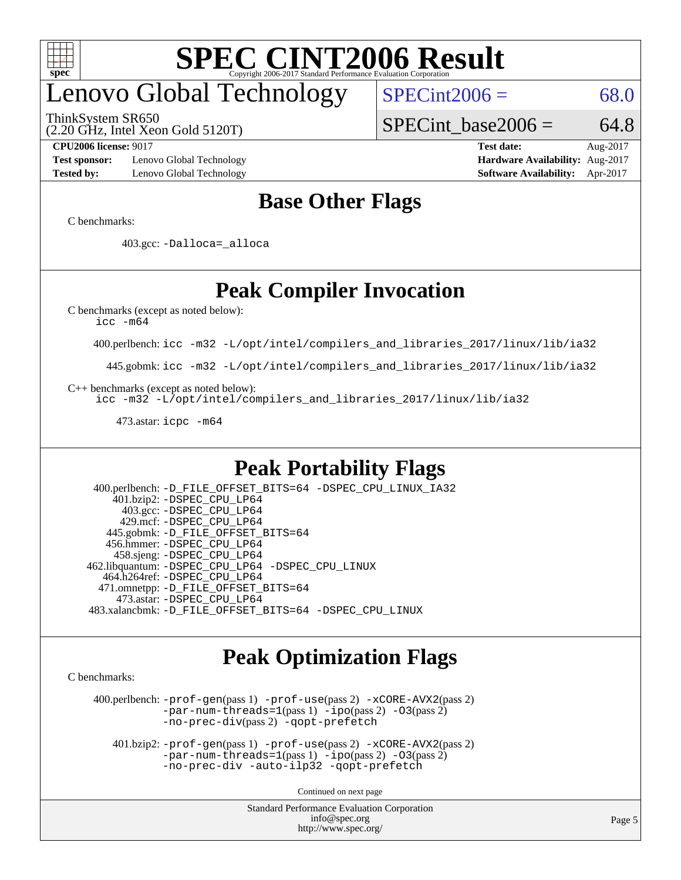

# enovo Global Technology

ThinkSystem SR650

 $SPECint2006 = 68.0$  $SPECint2006 = 68.0$ 

(2.20 GHz, Intel Xeon Gold 5120T)

SPECint base2006 =  $64.8$ 

**[Test sponsor:](http://www.spec.org/auto/cpu2006/Docs/result-fields.html#Testsponsor)** Lenovo Global Technology **[Hardware Availability:](http://www.spec.org/auto/cpu2006/Docs/result-fields.html#HardwareAvailability)** Aug-2017 **[Tested by:](http://www.spec.org/auto/cpu2006/Docs/result-fields.html#Testedby)** Lenovo Global Technology **[Software Availability:](http://www.spec.org/auto/cpu2006/Docs/result-fields.html#SoftwareAvailability)** Apr-2017

**[CPU2006 license:](http://www.spec.org/auto/cpu2006/Docs/result-fields.html#CPU2006license)** 9017 **[Test date:](http://www.spec.org/auto/cpu2006/Docs/result-fields.html#Testdate)** Aug-2017

#### **[Base Other Flags](http://www.spec.org/auto/cpu2006/Docs/result-fields.html#BaseOtherFlags)**

[C benchmarks](http://www.spec.org/auto/cpu2006/Docs/result-fields.html#Cbenchmarks):

403.gcc: [-Dalloca=\\_alloca](http://www.spec.org/cpu2006/results/res2017q4/cpu2006-20170918-49706.flags.html#b403.gcc_baseEXTRA_CFLAGS_Dalloca_be3056838c12de2578596ca5467af7f3)

### **[Peak Compiler Invocation](http://www.spec.org/auto/cpu2006/Docs/result-fields.html#PeakCompilerInvocation)**

[C benchmarks \(except as noted below\)](http://www.spec.org/auto/cpu2006/Docs/result-fields.html#Cbenchmarksexceptasnotedbelow):

[icc -m64](http://www.spec.org/cpu2006/results/res2017q4/cpu2006-20170918-49706.flags.html#user_CCpeak_intel_icc_64bit_bda6cc9af1fdbb0edc3795bac97ada53)

400.perlbench: [icc -m32 -L/opt/intel/compilers\\_and\\_libraries\\_2017/linux/lib/ia32](http://www.spec.org/cpu2006/results/res2017q4/cpu2006-20170918-49706.flags.html#user_peakCCLD400_perlbench_intel_icc_c29f3ff5a7ed067b11e4ec10a03f03ae)

445.gobmk: [icc -m32 -L/opt/intel/compilers\\_and\\_libraries\\_2017/linux/lib/ia32](http://www.spec.org/cpu2006/results/res2017q4/cpu2006-20170918-49706.flags.html#user_peakCCLD445_gobmk_intel_icc_c29f3ff5a7ed067b11e4ec10a03f03ae)

[C++ benchmarks \(except as noted below\):](http://www.spec.org/auto/cpu2006/Docs/result-fields.html#CXXbenchmarksexceptasnotedbelow)

[icc -m32 -L/opt/intel/compilers\\_and\\_libraries\\_2017/linux/lib/ia32](http://www.spec.org/cpu2006/results/res2017q4/cpu2006-20170918-49706.flags.html#user_CXXpeak_intel_icc_c29f3ff5a7ed067b11e4ec10a03f03ae)

473.astar: [icpc -m64](http://www.spec.org/cpu2006/results/res2017q4/cpu2006-20170918-49706.flags.html#user_peakCXXLD473_astar_intel_icpc_64bit_fc66a5337ce925472a5c54ad6a0de310)

#### **[Peak Portability Flags](http://www.spec.org/auto/cpu2006/Docs/result-fields.html#PeakPortabilityFlags)**

 400.perlbench: [-D\\_FILE\\_OFFSET\\_BITS=64](http://www.spec.org/cpu2006/results/res2017q4/cpu2006-20170918-49706.flags.html#user_peakPORTABILITY400_perlbench_file_offset_bits_64_438cf9856305ebd76870a2c6dc2689ab) [-DSPEC\\_CPU\\_LINUX\\_IA32](http://www.spec.org/cpu2006/results/res2017q4/cpu2006-20170918-49706.flags.html#b400.perlbench_peakCPORTABILITY_DSPEC_CPU_LINUX_IA32) 401.bzip2: [-DSPEC\\_CPU\\_LP64](http://www.spec.org/cpu2006/results/res2017q4/cpu2006-20170918-49706.flags.html#suite_peakPORTABILITY401_bzip2_DSPEC_CPU_LP64) 403.gcc: [-DSPEC\\_CPU\\_LP64](http://www.spec.org/cpu2006/results/res2017q4/cpu2006-20170918-49706.flags.html#suite_peakPORTABILITY403_gcc_DSPEC_CPU_LP64) 429.mcf: [-DSPEC\\_CPU\\_LP64](http://www.spec.org/cpu2006/results/res2017q4/cpu2006-20170918-49706.flags.html#suite_peakPORTABILITY429_mcf_DSPEC_CPU_LP64) 445.gobmk: [-D\\_FILE\\_OFFSET\\_BITS=64](http://www.spec.org/cpu2006/results/res2017q4/cpu2006-20170918-49706.flags.html#user_peakPORTABILITY445_gobmk_file_offset_bits_64_438cf9856305ebd76870a2c6dc2689ab) 456.hmmer: [-DSPEC\\_CPU\\_LP64](http://www.spec.org/cpu2006/results/res2017q4/cpu2006-20170918-49706.flags.html#suite_peakPORTABILITY456_hmmer_DSPEC_CPU_LP64) 458.sjeng: [-DSPEC\\_CPU\\_LP64](http://www.spec.org/cpu2006/results/res2017q4/cpu2006-20170918-49706.flags.html#suite_peakPORTABILITY458_sjeng_DSPEC_CPU_LP64) 462.libquantum: [-DSPEC\\_CPU\\_LP64](http://www.spec.org/cpu2006/results/res2017q4/cpu2006-20170918-49706.flags.html#suite_peakPORTABILITY462_libquantum_DSPEC_CPU_LP64) [-DSPEC\\_CPU\\_LINUX](http://www.spec.org/cpu2006/results/res2017q4/cpu2006-20170918-49706.flags.html#b462.libquantum_peakCPORTABILITY_DSPEC_CPU_LINUX) 464.h264ref: [-DSPEC\\_CPU\\_LP64](http://www.spec.org/cpu2006/results/res2017q4/cpu2006-20170918-49706.flags.html#suite_peakPORTABILITY464_h264ref_DSPEC_CPU_LP64) 471.omnetpp: [-D\\_FILE\\_OFFSET\\_BITS=64](http://www.spec.org/cpu2006/results/res2017q4/cpu2006-20170918-49706.flags.html#user_peakPORTABILITY471_omnetpp_file_offset_bits_64_438cf9856305ebd76870a2c6dc2689ab) 473.astar: [-DSPEC\\_CPU\\_LP64](http://www.spec.org/cpu2006/results/res2017q4/cpu2006-20170918-49706.flags.html#suite_peakPORTABILITY473_astar_DSPEC_CPU_LP64) 483.xalancbmk: [-D\\_FILE\\_OFFSET\\_BITS=64](http://www.spec.org/cpu2006/results/res2017q4/cpu2006-20170918-49706.flags.html#user_peakPORTABILITY483_xalancbmk_file_offset_bits_64_438cf9856305ebd76870a2c6dc2689ab) [-DSPEC\\_CPU\\_LINUX](http://www.spec.org/cpu2006/results/res2017q4/cpu2006-20170918-49706.flags.html#b483.xalancbmk_peakCXXPORTABILITY_DSPEC_CPU_LINUX)

#### **[Peak Optimization Flags](http://www.spec.org/auto/cpu2006/Docs/result-fields.html#PeakOptimizationFlags)**

[C benchmarks](http://www.spec.org/auto/cpu2006/Docs/result-fields.html#Cbenchmarks):

 400.perlbench: [-prof-gen](http://www.spec.org/cpu2006/results/res2017q4/cpu2006-20170918-49706.flags.html#user_peakPASS1_CFLAGSPASS1_LDCFLAGS400_perlbench_prof_gen_e43856698f6ca7b7e442dfd80e94a8fc)(pass 1) [-prof-use](http://www.spec.org/cpu2006/results/res2017q4/cpu2006-20170918-49706.flags.html#user_peakPASS2_CFLAGSPASS2_LDCFLAGS400_perlbench_prof_use_bccf7792157ff70d64e32fe3e1250b55)(pass 2) [-xCORE-AVX2](http://www.spec.org/cpu2006/results/res2017q4/cpu2006-20170918-49706.flags.html#user_peakPASS2_CFLAGSPASS2_LDCFLAGS400_perlbench_f-xCORE-AVX2)(pass 2) [-par-num-threads=1](http://www.spec.org/cpu2006/results/res2017q4/cpu2006-20170918-49706.flags.html#user_peakPASS1_CFLAGSPASS1_LDCFLAGS400_perlbench_par_num_threads_786a6ff141b4e9e90432e998842df6c2)(pass 1) [-ipo](http://www.spec.org/cpu2006/results/res2017q4/cpu2006-20170918-49706.flags.html#user_peakPASS2_CFLAGSPASS2_LDCFLAGS400_perlbench_f-ipo)(pass 2) [-O3](http://www.spec.org/cpu2006/results/res2017q4/cpu2006-20170918-49706.flags.html#user_peakPASS2_CFLAGSPASS2_LDCFLAGS400_perlbench_f-O3)(pass 2) [-no-prec-div](http://www.spec.org/cpu2006/results/res2017q4/cpu2006-20170918-49706.flags.html#user_peakPASS2_CFLAGSPASS2_LDCFLAGS400_perlbench_f-no-prec-div)(pass 2) [-qopt-prefetch](http://www.spec.org/cpu2006/results/res2017q4/cpu2006-20170918-49706.flags.html#user_peakCOPTIMIZE400_perlbench_f-qopt-prefetch)

 401.bzip2: [-prof-gen](http://www.spec.org/cpu2006/results/res2017q4/cpu2006-20170918-49706.flags.html#user_peakPASS1_CFLAGSPASS1_LDCFLAGS401_bzip2_prof_gen_e43856698f6ca7b7e442dfd80e94a8fc)(pass 1) [-prof-use](http://www.spec.org/cpu2006/results/res2017q4/cpu2006-20170918-49706.flags.html#user_peakPASS2_CFLAGSPASS2_LDCFLAGS401_bzip2_prof_use_bccf7792157ff70d64e32fe3e1250b55)(pass 2) [-xCORE-AVX2](http://www.spec.org/cpu2006/results/res2017q4/cpu2006-20170918-49706.flags.html#user_peakPASS2_CFLAGSPASS2_LDCFLAGS401_bzip2_f-xCORE-AVX2)(pass 2)  $-par-num-threads=1(pass 1) -ipo(pass 2) -O3(pass 2)$  $-par-num-threads=1(pass 1) -ipo(pass 2) -O3(pass 2)$  $-par-num-threads=1(pass 1) -ipo(pass 2) -O3(pass 2)$  $-par-num-threads=1(pass 1) -ipo(pass 2) -O3(pass 2)$  $-par-num-threads=1(pass 1) -ipo(pass 2) -O3(pass 2)$  $-par-num-threads=1(pass 1) -ipo(pass 2) -O3(pass 2)$ [-no-prec-div](http://www.spec.org/cpu2006/results/res2017q4/cpu2006-20170918-49706.flags.html#user_peakCOPTIMIZEPASS2_CFLAGSPASS2_LDCFLAGS401_bzip2_f-no-prec-div) [-auto-ilp32](http://www.spec.org/cpu2006/results/res2017q4/cpu2006-20170918-49706.flags.html#user_peakCOPTIMIZE401_bzip2_f-auto-ilp32) [-qopt-prefetch](http://www.spec.org/cpu2006/results/res2017q4/cpu2006-20170918-49706.flags.html#user_peakCOPTIMIZE401_bzip2_f-qopt-prefetch)

Continued on next page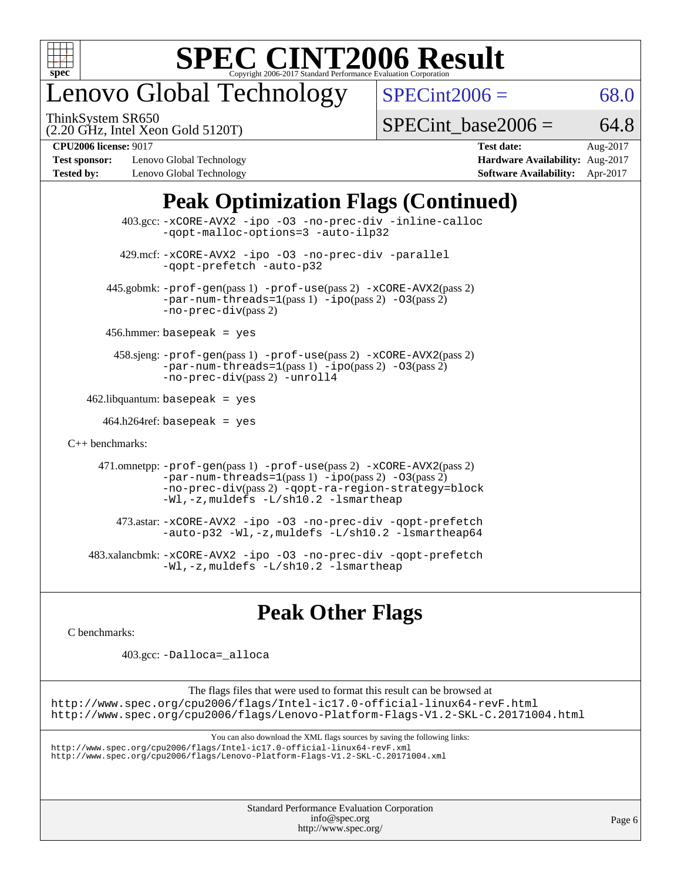

# enovo Global Technology

ThinkSystem SR650

 $SPECint2006 = 68.0$  $SPECint2006 = 68.0$ 

(2.20 GHz, Intel Xeon Gold 5120T)

SPECint base2006 =  $64.8$ 

**[Test sponsor:](http://www.spec.org/auto/cpu2006/Docs/result-fields.html#Testsponsor)** Lenovo Global Technology **[Hardware Availability:](http://www.spec.org/auto/cpu2006/Docs/result-fields.html#HardwareAvailability)** Aug-2017 **[Tested by:](http://www.spec.org/auto/cpu2006/Docs/result-fields.html#Testedby)** Lenovo Global Technology **[Software Availability:](http://www.spec.org/auto/cpu2006/Docs/result-fields.html#SoftwareAvailability)** Apr-2017

**[CPU2006 license:](http://www.spec.org/auto/cpu2006/Docs/result-fields.html#CPU2006license)** 9017 **[Test date:](http://www.spec.org/auto/cpu2006/Docs/result-fields.html#Testdate)** Aug-2017

### **[Peak Optimization Flags \(Continued\)](http://www.spec.org/auto/cpu2006/Docs/result-fields.html#PeakOptimizationFlags)**

 403.gcc: [-xCORE-AVX2](http://www.spec.org/cpu2006/results/res2017q4/cpu2006-20170918-49706.flags.html#user_peakOPTIMIZE403_gcc_f-xCORE-AVX2) [-ipo](http://www.spec.org/cpu2006/results/res2017q4/cpu2006-20170918-49706.flags.html#user_peakOPTIMIZE403_gcc_f-ipo) [-O3](http://www.spec.org/cpu2006/results/res2017q4/cpu2006-20170918-49706.flags.html#user_peakOPTIMIZE403_gcc_f-O3) [-no-prec-div](http://www.spec.org/cpu2006/results/res2017q4/cpu2006-20170918-49706.flags.html#user_peakOPTIMIZE403_gcc_f-no-prec-div) [-inline-calloc](http://www.spec.org/cpu2006/results/res2017q4/cpu2006-20170918-49706.flags.html#user_peakCOPTIMIZE403_gcc_f-inline-calloc) [-qopt-malloc-options=3](http://www.spec.org/cpu2006/results/res2017q4/cpu2006-20170918-49706.flags.html#user_peakCOPTIMIZE403_gcc_f-qopt-malloc-options_0fcb435012e78f27d57f473818e45fe4) [-auto-ilp32](http://www.spec.org/cpu2006/results/res2017q4/cpu2006-20170918-49706.flags.html#user_peakCOPTIMIZE403_gcc_f-auto-ilp32) 429.mcf: [-xCORE-AVX2](http://www.spec.org/cpu2006/results/res2017q4/cpu2006-20170918-49706.flags.html#user_peakOPTIMIZE429_mcf_f-xCORE-AVX2) [-ipo](http://www.spec.org/cpu2006/results/res2017q4/cpu2006-20170918-49706.flags.html#user_peakOPTIMIZE429_mcf_f-ipo) [-O3](http://www.spec.org/cpu2006/results/res2017q4/cpu2006-20170918-49706.flags.html#user_peakOPTIMIZE429_mcf_f-O3) [-no-prec-div](http://www.spec.org/cpu2006/results/res2017q4/cpu2006-20170918-49706.flags.html#user_peakOPTIMIZE429_mcf_f-no-prec-div) [-parallel](http://www.spec.org/cpu2006/results/res2017q4/cpu2006-20170918-49706.flags.html#user_peakCOPTIMIZE429_mcf_f-parallel) [-qopt-prefetch](http://www.spec.org/cpu2006/results/res2017q4/cpu2006-20170918-49706.flags.html#user_peakCOPTIMIZE429_mcf_f-qopt-prefetch) [-auto-p32](http://www.spec.org/cpu2006/results/res2017q4/cpu2006-20170918-49706.flags.html#user_peakCOPTIMIZE429_mcf_f-auto-p32) 445.gobmk: [-prof-gen](http://www.spec.org/cpu2006/results/res2017q4/cpu2006-20170918-49706.flags.html#user_peakPASS1_CFLAGSPASS1_LDCFLAGS445_gobmk_prof_gen_e43856698f6ca7b7e442dfd80e94a8fc)(pass 1) [-prof-use](http://www.spec.org/cpu2006/results/res2017q4/cpu2006-20170918-49706.flags.html#user_peakPASS2_CFLAGSPASS2_LDCFLAGS445_gobmk_prof_use_bccf7792157ff70d64e32fe3e1250b55)(pass 2) [-xCORE-AVX2](http://www.spec.org/cpu2006/results/res2017q4/cpu2006-20170918-49706.flags.html#user_peakPASS2_CFLAGSPASS2_LDCFLAGS445_gobmk_f-xCORE-AVX2)(pass 2)  $-par-num-threads=1(pass 1) -ipo(pass 2) -O3(pass 2)$  $-par-num-threads=1(pass 1) -ipo(pass 2) -O3(pass 2)$  $-par-num-threads=1(pass 1) -ipo(pass 2) -O3(pass 2)$  $-par-num-threads=1(pass 1) -ipo(pass 2) -O3(pass 2)$  $-par-num-threads=1(pass 1) -ipo(pass 2) -O3(pass 2)$  $-par-num-threads=1(pass 1) -ipo(pass 2) -O3(pass 2)$ [-no-prec-div](http://www.spec.org/cpu2006/results/res2017q4/cpu2006-20170918-49706.flags.html#user_peakPASS2_CFLAGSPASS2_LDCFLAGS445_gobmk_f-no-prec-div)(pass 2) 456.hmmer: basepeak = yes 458.sjeng: [-prof-gen](http://www.spec.org/cpu2006/results/res2017q4/cpu2006-20170918-49706.flags.html#user_peakPASS1_CFLAGSPASS1_LDCFLAGS458_sjeng_prof_gen_e43856698f6ca7b7e442dfd80e94a8fc)(pass 1) [-prof-use](http://www.spec.org/cpu2006/results/res2017q4/cpu2006-20170918-49706.flags.html#user_peakPASS2_CFLAGSPASS2_LDCFLAGS458_sjeng_prof_use_bccf7792157ff70d64e32fe3e1250b55)(pass 2) [-xCORE-AVX2](http://www.spec.org/cpu2006/results/res2017q4/cpu2006-20170918-49706.flags.html#user_peakPASS2_CFLAGSPASS2_LDCFLAGS458_sjeng_f-xCORE-AVX2)(pass 2) [-par-num-threads=1](http://www.spec.org/cpu2006/results/res2017q4/cpu2006-20170918-49706.flags.html#user_peakPASS1_CFLAGSPASS1_LDCFLAGS458_sjeng_par_num_threads_786a6ff141b4e9e90432e998842df6c2)(pass 1) [-ipo](http://www.spec.org/cpu2006/results/res2017q4/cpu2006-20170918-49706.flags.html#user_peakPASS2_CFLAGSPASS2_LDCFLAGS458_sjeng_f-ipo)(pass 2) [-O3](http://www.spec.org/cpu2006/results/res2017q4/cpu2006-20170918-49706.flags.html#user_peakPASS2_CFLAGSPASS2_LDCFLAGS458_sjeng_f-O3)(pass 2) [-no-prec-div](http://www.spec.org/cpu2006/results/res2017q4/cpu2006-20170918-49706.flags.html#user_peakPASS2_CFLAGSPASS2_LDCFLAGS458_sjeng_f-no-prec-div)(pass 2) [-unroll4](http://www.spec.org/cpu2006/results/res2017q4/cpu2006-20170918-49706.flags.html#user_peakCOPTIMIZE458_sjeng_f-unroll_4e5e4ed65b7fd20bdcd365bec371b81f)  $462$ .libquantum: basepeak = yes  $464.h264$ ref: basepeak = yes [C++ benchmarks:](http://www.spec.org/auto/cpu2006/Docs/result-fields.html#CXXbenchmarks) 471.omnetpp: [-prof-gen](http://www.spec.org/cpu2006/results/res2017q4/cpu2006-20170918-49706.flags.html#user_peakPASS1_CXXFLAGSPASS1_LDCXXFLAGS471_omnetpp_prof_gen_e43856698f6ca7b7e442dfd80e94a8fc)(pass 1) [-prof-use](http://www.spec.org/cpu2006/results/res2017q4/cpu2006-20170918-49706.flags.html#user_peakPASS2_CXXFLAGSPASS2_LDCXXFLAGS471_omnetpp_prof_use_bccf7792157ff70d64e32fe3e1250b55)(pass 2) [-xCORE-AVX2](http://www.spec.org/cpu2006/results/res2017q4/cpu2006-20170918-49706.flags.html#user_peakPASS2_CXXFLAGSPASS2_LDCXXFLAGS471_omnetpp_f-xCORE-AVX2)(pass 2)  $-par-num-threads=1(pass 1) -ipo(pass 2) -O3(pass 2)$  $-par-num-threads=1(pass 1) -ipo(pass 2) -O3(pass 2)$  $-par-num-threads=1(pass 1) -ipo(pass 2) -O3(pass 2)$  $-par-num-threads=1(pass 1) -ipo(pass 2) -O3(pass 2)$  $-par-num-threads=1(pass 1) -ipo(pass 2) -O3(pass 2)$  $-par-num-threads=1(pass 1) -ipo(pass 2) -O3(pass 2)$ [-no-prec-div](http://www.spec.org/cpu2006/results/res2017q4/cpu2006-20170918-49706.flags.html#user_peakPASS2_CXXFLAGSPASS2_LDCXXFLAGS471_omnetpp_f-no-prec-div)(pass 2) [-qopt-ra-region-strategy=block](http://www.spec.org/cpu2006/results/res2017q4/cpu2006-20170918-49706.flags.html#user_peakCXXOPTIMIZE471_omnetpp_f-qopt-ra-region-strategy_0f7b543d62da454b380160c0e3b28f94) [-Wl,-z,muldefs](http://www.spec.org/cpu2006/results/res2017q4/cpu2006-20170918-49706.flags.html#user_peakEXTRA_LDFLAGS471_omnetpp_link_force_multiple1_74079c344b956b9658436fd1b6dd3a8a) [-L/sh10.2 -lsmartheap](http://www.spec.org/cpu2006/results/res2017q4/cpu2006-20170918-49706.flags.html#user_peakEXTRA_LIBS471_omnetpp_SmartHeap_b831f2d313e2fffa6dfe3f00ffc1f1c0) 473.astar: [-xCORE-AVX2](http://www.spec.org/cpu2006/results/res2017q4/cpu2006-20170918-49706.flags.html#user_peakOPTIMIZE473_astar_f-xCORE-AVX2) [-ipo](http://www.spec.org/cpu2006/results/res2017q4/cpu2006-20170918-49706.flags.html#user_peakOPTIMIZE473_astar_f-ipo) [-O3](http://www.spec.org/cpu2006/results/res2017q4/cpu2006-20170918-49706.flags.html#user_peakOPTIMIZE473_astar_f-O3) [-no-prec-div](http://www.spec.org/cpu2006/results/res2017q4/cpu2006-20170918-49706.flags.html#user_peakOPTIMIZE473_astar_f-no-prec-div) [-qopt-prefetch](http://www.spec.org/cpu2006/results/res2017q4/cpu2006-20170918-49706.flags.html#user_peakCXXOPTIMIZE473_astar_f-qopt-prefetch) [-auto-p32](http://www.spec.org/cpu2006/results/res2017q4/cpu2006-20170918-49706.flags.html#user_peakCXXOPTIMIZE473_astar_f-auto-p32) [-Wl,-z,muldefs](http://www.spec.org/cpu2006/results/res2017q4/cpu2006-20170918-49706.flags.html#user_peakEXTRA_LDFLAGS473_astar_link_force_multiple1_74079c344b956b9658436fd1b6dd3a8a) [-L/sh10.2 -lsmartheap64](http://www.spec.org/cpu2006/results/res2017q4/cpu2006-20170918-49706.flags.html#user_peakEXTRA_LIBS473_astar_SmartHeap64_63911d860fc08c15fa1d5bf319b9d8d5) 483.xalancbmk: [-xCORE-AVX2](http://www.spec.org/cpu2006/results/res2017q4/cpu2006-20170918-49706.flags.html#user_peakOPTIMIZE483_xalancbmk_f-xCORE-AVX2) [-ipo](http://www.spec.org/cpu2006/results/res2017q4/cpu2006-20170918-49706.flags.html#user_peakOPTIMIZE483_xalancbmk_f-ipo) [-O3](http://www.spec.org/cpu2006/results/res2017q4/cpu2006-20170918-49706.flags.html#user_peakOPTIMIZE483_xalancbmk_f-O3) [-no-prec-div](http://www.spec.org/cpu2006/results/res2017q4/cpu2006-20170918-49706.flags.html#user_peakOPTIMIZE483_xalancbmk_f-no-prec-div) [-qopt-prefetch](http://www.spec.org/cpu2006/results/res2017q4/cpu2006-20170918-49706.flags.html#user_peakCXXOPTIMIZE483_xalancbmk_f-qopt-prefetch) [-Wl,-z,muldefs](http://www.spec.org/cpu2006/results/res2017q4/cpu2006-20170918-49706.flags.html#user_peakEXTRA_LDFLAGS483_xalancbmk_link_force_multiple1_74079c344b956b9658436fd1b6dd3a8a) [-L/sh10.2 -lsmartheap](http://www.spec.org/cpu2006/results/res2017q4/cpu2006-20170918-49706.flags.html#user_peakEXTRA_LIBS483_xalancbmk_SmartHeap_b831f2d313e2fffa6dfe3f00ffc1f1c0)

### **[Peak Other Flags](http://www.spec.org/auto/cpu2006/Docs/result-fields.html#PeakOtherFlags)**

[C benchmarks](http://www.spec.org/auto/cpu2006/Docs/result-fields.html#Cbenchmarks):

403.gcc: [-Dalloca=\\_alloca](http://www.spec.org/cpu2006/results/res2017q4/cpu2006-20170918-49706.flags.html#b403.gcc_peakEXTRA_CFLAGS_Dalloca_be3056838c12de2578596ca5467af7f3)

The flags files that were used to format this result can be browsed at <http://www.spec.org/cpu2006/flags/Intel-ic17.0-official-linux64-revF.html> <http://www.spec.org/cpu2006/flags/Lenovo-Platform-Flags-V1.2-SKL-C.20171004.html>

You can also download the XML flags sources by saving the following links:

<http://www.spec.org/cpu2006/flags/Intel-ic17.0-official-linux64-revF.xml> <http://www.spec.org/cpu2006/flags/Lenovo-Platform-Flags-V1.2-SKL-C.20171004.xml>